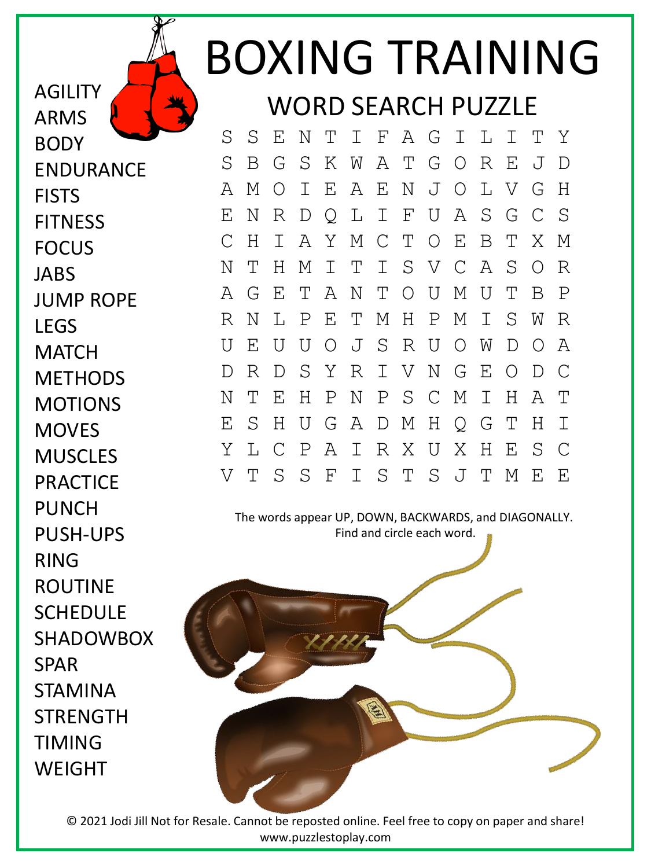## BOXING TRAINING WORD SEARCH PUZZLE

S S E N T I F A G I L I T Y S B G S K W A T G O R E J D A M O I E A E N J O L V G H E N R D Q L I F U A S G C S C H I A Y M C T O E B T X M N T H M I T I S V C A S O R A G E T A N T O U M U T B P R N L P E T M H P M I S W R U E U U O J S R U O W D O A D R D S Y R I V N G E O D C N T E H P N P S C M I H A T E S H U G A D M H Q G T H I Y L C P A I R X U X H E S C V T S S F I S T S J T M E E

The words appear UP, DOWN, BACKWARDS, and DIAGONALLY. Find and circle each word.



© 2021 Jodi Jill Not for Resale. Cannot be reposted online. Feel free to copy on paper and share! www.puzzlestoplay.com

BODY ENDURANCE **FISTS FITNESS** FOCUS JABS JUMP ROPE LEGS **MATCH METHODS** MOTIONS **MOVES MUSCLES PRACTICE** PUNCH PUSH-UPS RING ROUTINE **SCHEDULE** SHADOWBOX SPAR STAMINA **STRENGTH** TIMING WEIGHT

AGILITY

ARMS